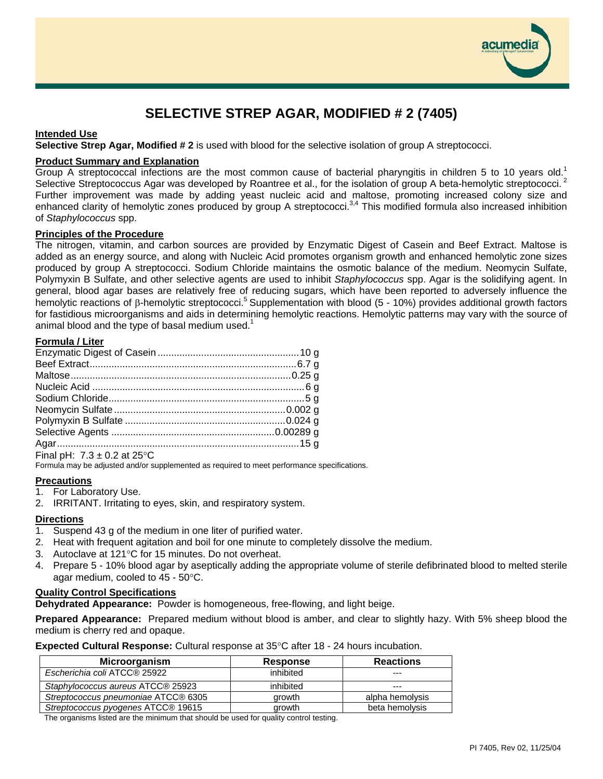

# **SELECTIVE STREP AGAR, MODIFIED # 2 (7405)**

# **Intended Use**

**Selective Strep Agar, Modified # 2** is used with blood for the selective isolation of group A streptococci.

## **Product Summary and Explanation**

Group A streptococcal infections are the most common cause of bacterial pharyngitis in children 5 to 10 years old.<sup>1</sup> Selective Streptococcus Agar was developed by Roantree et al., for the isolation of group A beta-hemolytic streptococci.<sup>2</sup> Further improvement was made by adding yeast nucleic acid and maltose, promoting increased colony size and enhanced clarity of hemolytic zones produced by group A streptococci.<sup>3,4</sup> This modified formula also increased inhibition of *Staphylococcus* spp.

#### **Principles of the Procedure**

The nitrogen, vitamin, and carbon sources are provided by Enzymatic Digest of Casein and Beef Extract. Maltose is added as an energy source, and along with Nucleic Acid promotes organism growth and enhanced hemolytic zone sizes produced by group A streptococci. Sodium Chloride maintains the osmotic balance of the medium. Neomycin Sulfate, Polymyxin B Sulfate, and other selective agents are used to inhibit *Staphylococcus* spp. Agar is the solidifying agent. In general, blood agar bases are relatively free of reducing sugars, which have been reported to adversely influence the hemolytic reactions of β-hemolytic streptococci.<sup>5</sup> Supplementation with blood (5 - 10%) provides additional growth factors for fastidious microorganisms and aids in determining hemolytic reactions. Hemolytic patterns may vary with the source of animal blood and the type of basal medium used. $1$ 

# **Formula / Liter**

| $\Gamma$ . I II $\Gamma$ $\Omega$ $\Omega$ $\Omega$ $\Gamma$ $\Omega$ $\Gamma$ |  |
|--------------------------------------------------------------------------------|--|

Final pH:  $7.3 \pm 0.2$  at  $25^{\circ}$ C Formula may be adjusted and/or supplemented as required to meet performance specifications.

## **Precautions**

1. For Laboratory Use.

2. IRRITANT. Irritating to eyes, skin, and respiratory system.

## **Directions**

- 1. Suspend 43 g of the medium in one liter of purified water.
- 2. Heat with frequent agitation and boil for one minute to completely dissolve the medium.
- 3. Autoclave at 121°C for 15 minutes. Do not overheat.
- 4. Prepare 5 10% blood agar by aseptically adding the appropriate volume of sterile defibrinated blood to melted sterile agar medium, cooled to 45 - 50°C.

## **Quality Control Specifications**

**Dehydrated Appearance:** Powder is homogeneous, free-flowing, and light beige.

**Prepared Appearance:** Prepared medium without blood is amber, and clear to slightly hazy. With 5% sheep blood the medium is cherry red and opaque.

**Expected Cultural Response:** Cultural response at 35°C after 18 - 24 hours incubation.

| Microorganism                       | <b>Response</b> | <b>Reactions</b> |
|-------------------------------------|-----------------|------------------|
| Escherichia coli ATCC® 25922        | inhibited       | $- - -$          |
| Staphylococcus aureus ATCC® 25923   | inhibited       | ---              |
| Streptococcus pneumoniae ATCC® 6305 | arowth          | alpha hemolysis  |
| Streptococcus pyogenes ATCC® 19615  | arowth          | beta hemolysis   |

The organisms listed are the minimum that should be used for quality control testing.